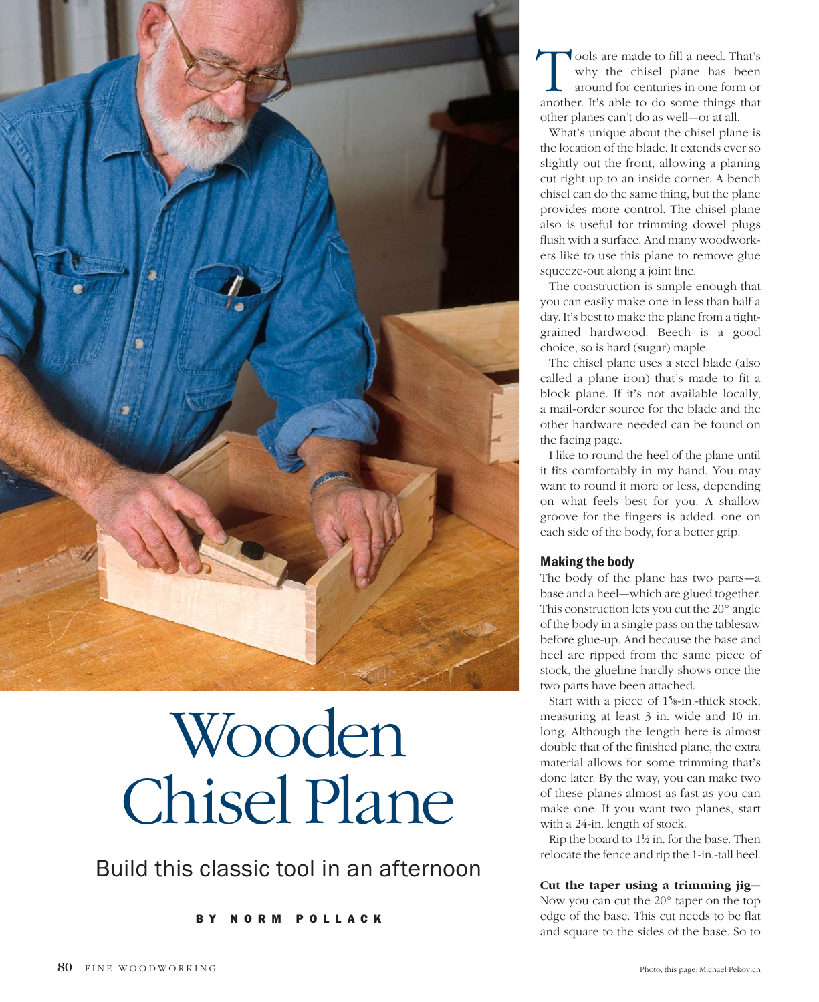

# Wooden Chisel Plane

## Build this classic tool in an afternoon

**NORM POLLACK** 

ools are made to fill a need. That's why the chisel plane has been around for centuries in one form or Tools are made to fill a need. That's<br>why the chisel plane has been<br>around for centuries in one form or<br>another. It's able to do some things that other planes can't do as well—or at all.

What's unique about the chisel plane is the location of the blade. It extends ever so slightly out the front, allowing a planing cut right up to an inside corner. A bench chisel can do the same thing, but the plane provides more control. The chisel plane also is useful for trimming dowel plugs flush with a surface. And many woodworkers like to use this plane to remove glue squeeze-out along a joint line.

The construction is simple enough that you can easily make one in less than half a day. It's best to make the plane from a tightgrained hardwood. Beech is a good choice, so is hard (sugar) maple.

The chisel plane uses a steel blade (also called a plane iron) that's made to fit a block plane. If it's not available locally, a mail-order source for the blade and the other hardware needed can be found on the facing page.

I like to round the heel of the plane until it fits comfortably in my hand. You may want to round it more or less, depending on what feels best for you. A shallow groove for the fingers is added, one on each side of the body, for a better grip.

## Making the body

The body of the plane has two parts—a base and a heel—which are glued together. This construction lets you cut the 20° angle of the body in a single pass on the tablesaw before glue-up. And because the base and heel are ripped from the same piece of stock, the glueline hardly shows once the two parts have been attached.

Start with a piece of 1<sup>5</sup> ⁄8-in.-thick stock, measuring at least 3 in. wide and 10 in. long. Although the length here is almost double that of the finished plane, the extra material allows for some trimming that's done later. By the way, you can make two of these planes almost as fast as you can make one. If you want two planes, start with a 24-in. length of stock.

Rip the board to  $1\frac{1}{2}$  in. for the base. Then relocate the fence and rip the 1-in.-tall heel.

#### Cut the taper using a trimming jig—

Now you can cut the 20° taper on the top edge of the base. This cut needs to be flat and square to the sides of the base. So to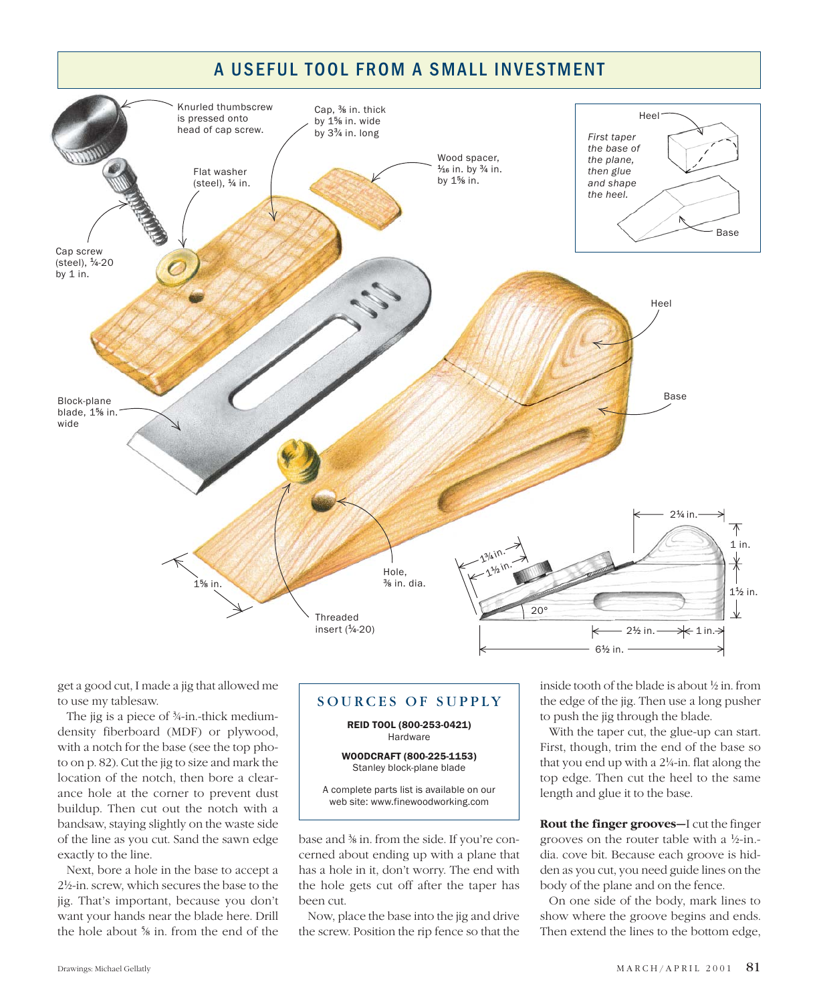## A USEFUL TOOL FROM A SMALL INVESTMENT



get a good cut, I made a jig that allowed me to use my tablesaw.

The jig is a piece of 3/4-in.-thick mediumdensity fiberboard (MDF) or plywood, with a notch for the base (see the top photo on p. 82). Cut the jig to size and mark the location of the notch, then bore a clearance hole at the corner to prevent dust buildup. Then cut out the notch with a bandsaw, staying slightly on the waste side of the line as you cut. Sand the sawn edge exactly to the line.

Next, bore a hole in the base to accept a 21 ⁄2-in. screw, which secures the base to the jig. That's important, because you don't want your hands near the blade here. Drill the hole about <sup>5</sup> ⁄<sup>8</sup> in. from the end of the

## SOURCES OF SUPPLY

REID TOOL (800-253-0421) Hardware

WOODCRAFT (800-225-1153) Stanley block-plane blade

A complete parts list is available on our web site: www.finewoodworking.com

base and <sup>3</sup> ⁄<sup>8</sup> in. from the side. If you're concerned about ending up with a plane that has a hole in it, don't worry. The end with the hole gets cut off after the taper has been cut.

Now, place the base into the jig and drive the screw. Position the rip fence so that the

inside tooth of the blade is about <sup>1</sup> ⁄<sup>2</sup> in. from the edge of the jig. Then use a long pusher to push the jig through the blade.

With the taper cut, the glue-up can start. First, though, trim the end of the base so that you end up with a 2<sup>1</sup> ⁄4-in. flat along the top edge. Then cut the heel to the same length and glue it to the base.

Rout the finger grooves-I cut the finger grooves on the router table with a <sup>1</sup> ⁄2-in. dia. cove bit. Because each groove is hidden as you cut, you need guide lines on the body of the plane and on the fence.

On one side of the body, mark lines to show where the groove begins and ends. Then extend the lines to the bottom edge,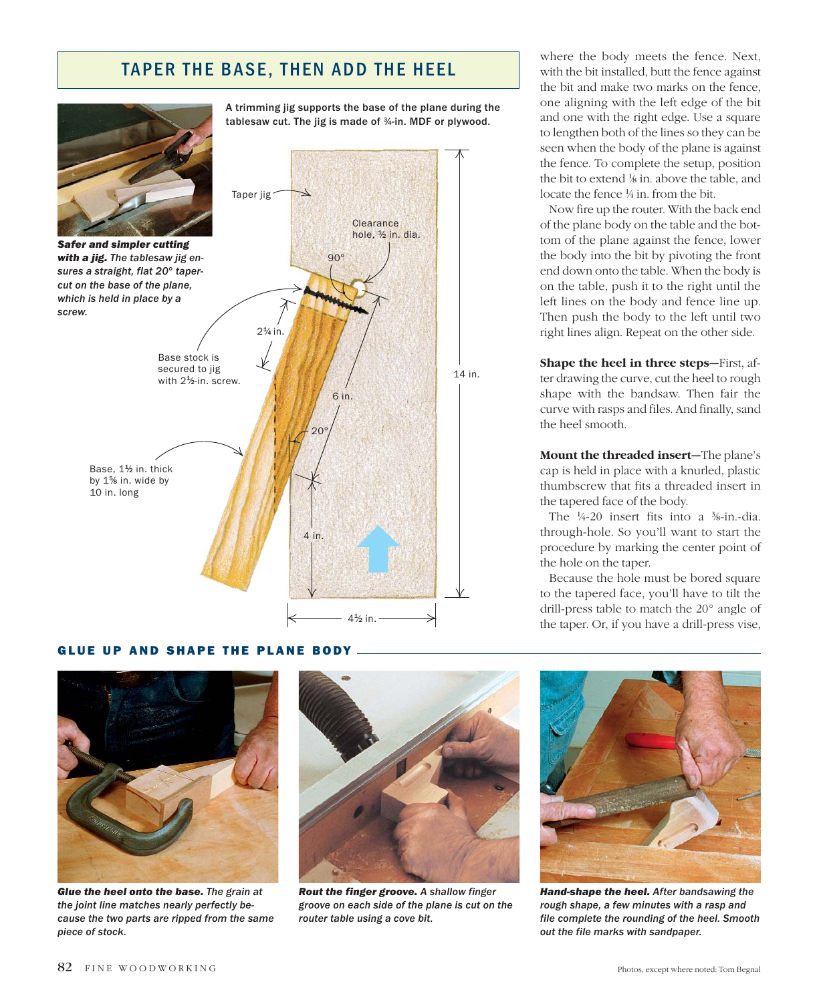## TAPER THE BASE, THEN ADD THE HEEL



A trimming jig supports the base of the plane during the tablesaw cut. The jig is made of 34-in. MDF or plywood.

## where the body meets the fence. Next, with the bit installed, butt the fence against the bit and make two marks on the fence, one aligning with the left edge of the bit and one with the right edge. Use a square to lengthen both of the lines so they can be seen when the body of the plane is against the fence. To complete the setup, position the bit to extend <sup>1</sup>⁄8 in. above the table, and locate the fence <sup>1</sup> ⁄<sup>4</sup> in. from the bit.

Now fire up the router. With the back end of the plane body on the table and the bottom of the plane against the fence, lower the body into the bit by pivoting the front end down onto the table. When the body is on the table, push it to the right until the left lines on the body and fence line up. Then push the body to the left until two right lines align. Repeat on the other side.

Shape the heel in three steps—First, after drawing the curve, cut the heel to rough shape with the bandsaw. Then fair the curve with rasps and files. And finally, sand the heel smooth.

Mount the threaded insert—The plane's cap is held in place with a knurled, plastic thumbscrew that fits a threaded insert in the tapered face of the body.

The <sup>1</sup> ⁄4-20 insert fits into a <sup>3</sup> ⁄8-in.-dia. through-hole. So you'll want to start the procedure by marking the center point of the hole on the taper.

Because the hole must be bored square to the tapered face, you'll have to tilt the drill-press table to match the 20° angle of the taper. Or, if you have a drill-press vise,

## GLUE UP AND SHAPE THE PLANE BODY



*Glue the heel onto the base. The grain at the joint line matches nearly perfectly because the two parts are ripped from the same piece of stock.*



*Rout the finger groove. A shallow finger groove on each side of the plane is cut on the router table using a cove bit.*



*Hand-shape the heel. After bandsawing the rough shape, a few minutes with a rasp and file complete the rounding of the heel. Smooth out the file marks with sandpaper.*